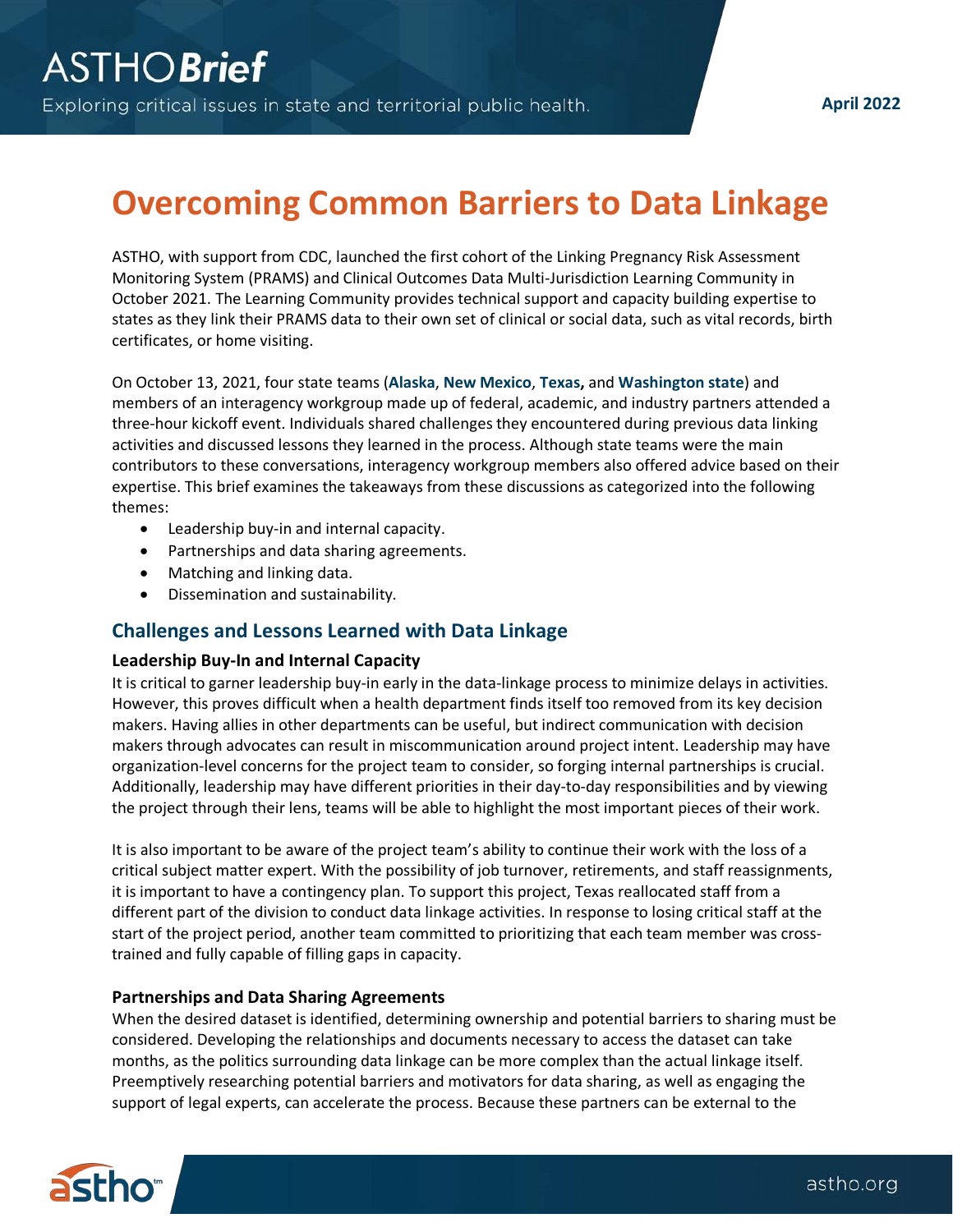# **Overcoming Common Barriers to Data Linkage**

ASTHO, with support from CDC, launched the first cohort of the Linking Pregnancy Risk Assessment Monitoring System (PRAMS) and Clinical Outcomes Data Multi-Jurisdiction Learning Community in October 2021. The Learning Community provides technical support and capacity building expertise to states as they link their PRAMS data to their own set of clinical or social data, such as vital records, birth certificates, or home visiting.

On October 13, 2021, four state teams (**Alaska**, **New Mexico**, **Texas,** and **Washington state**) and members of an interagency workgroup made up of federal, academic, and industry partners attended a three-hour kickoff event. Individuals shared challenges they encountered during previous data linking activities and discussed lessons they learned in the process. Although state teams were the main contributors to these conversations, interagency workgroup members also offered advice based on their expertise. This brief examines the takeaways from these discussions as categorized into the following themes:

- Leadership buy-in and internal capacity.
- Partnerships and data sharing agreements.
- Matching and linking data.
- Dissemination and sustainability.

## **Challenges and Lessons Learned with Data Linkage**

#### **Leadership Buy-In and Internal Capacity**

It is critical to garner leadership buy-in early in the data-linkage process to minimize delays in activities. However, this proves difficult when a health department finds itself too removed from its key decision makers. Having allies in other departments can be useful, but indirect communication with decision makers through advocates can result in miscommunication around project intent. Leadership may have organization-level concerns for the project team to consider, so forging internal partnerships is crucial. Additionally, leadership may have different priorities in their day-to-day responsibilities and by viewing the project through their lens, teams will be able to highlight the most important pieces of their work.

It is also important to be aware of the project team's ability to continue their work with the loss of a critical subject matter expert. With the possibility of job turnover, retirements, and staff reassignments, it is important to have a contingency plan. To support this project, Texas reallocated staff from a different part of the division to conduct data linkage activities. In response to losing critical staff at the start of the project period, another team committed to prioritizing that each team member was crosstrained and fully capable of filling gaps in capacity.

#### **Partnerships and Data Sharing Agreements**

When the desired dataset is identified, determining ownership and potential barriers to sharing must be considered. Developing the relationships and documents necessary to access the dataset can take months, as the politics surrounding data linkage can be more complex than the actual linkage itself. Preemptively researching potential barriers and motivators for data sharing, as well as engaging the support of legal experts, can accelerate the process. Because these partners can be external to the